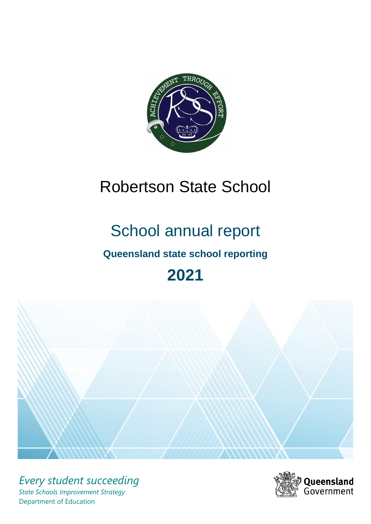

# Robertson State School

# School annual report

# **Queensland state school reporting**

# **2021**



*Every student succeeding State Schools Improvement Strategy* Department of Education

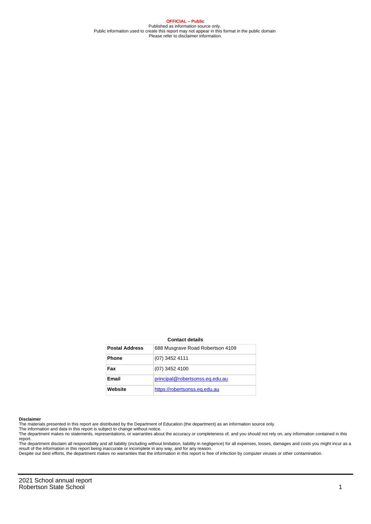**OFFICIAL – Public** Published as information source only. Public information used to create this report may not appear in this format in the public domain Please refer to disclaimer information.

#### **Contact details**

| <b>Postal Address</b> | 688 Musgrave Road Robertson 4109 |
|-----------------------|----------------------------------|
| <b>Phone</b>          | (07) 3452 4111                   |
| Fax                   | (07) 3452 4100                   |
| Email                 | principal@robertsonss.eq.edu.au  |
| Website               | https://robertsonss.eq.edu.au    |

#### **Disclaimer**

The materials presented in this report are distributed by the Department of Education (the department) as an information source only.

The information and data in this report is subject to change without notice.<br>The department makes no statements, representations, or warranties about the accuracy or completeness of, and you should not rely on, any informa report.

The department disclaim all responsibility and all liability (including without limitation, liability in negligence) for all expenses, losses, damages and costs you might incur as a result of the information in this report being inaccurate or incomplete in any way, and for any reason. Despite our best efforts, the department makes no warranties that the information in this report is free of infection by computer viruses or other contamination.

2021 School annual report Robertson State School 1 and 1 and 1 and 1 and 1 and 1 and 1 and 1 and 1 and 1 and 1 and 1 and 1 and 1 and 1 and 1 and 1 and 1 and 1 and 1 and 1 and 1 and 1 and 1 and 1 and 1 and 1 and 1 and 1 and 1 and 1 and 1 and 1 and 1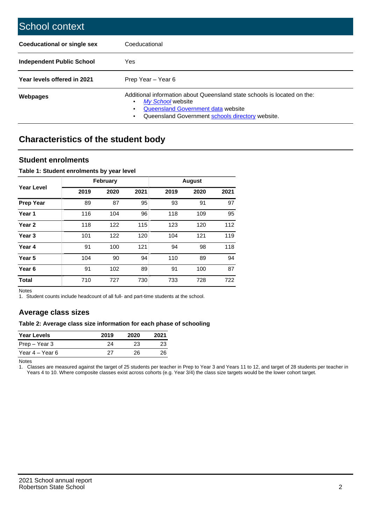| School context                   |                                                                                                                                                                                              |
|----------------------------------|----------------------------------------------------------------------------------------------------------------------------------------------------------------------------------------------|
| Coeducational or single sex      | Coeducational                                                                                                                                                                                |
| <b>Independent Public School</b> | <b>Yes</b>                                                                                                                                                                                   |
| Year levels offered in 2021      | Prep Year - Year 6                                                                                                                                                                           |
| Webpages                         | Additional information about Queensland state schools is located on the:<br>My School website<br>Queensland Government data website<br>Queensland Government schools directory website.<br>٠ |

# **Characteristics of the student body**

### **Student enrolments**

#### **Table 1: Student enrolments by year level**

|                   |      | <b>February</b> |      |      | <b>August</b> |      |
|-------------------|------|-----------------|------|------|---------------|------|
| Year Level        | 2019 | 2020            | 2021 | 2019 | 2020          | 2021 |
| <b>Prep Year</b>  | 89   | 87              | 95   | 93   | 91            | 97   |
| Year 1            | 116  | 104             | 96   | 118  | 109           | 95   |
| Year 2            | 118  | 122             | 115  | 123  | 120           | 112  |
| Year <sub>3</sub> | 101  | 122             | 120  | 104  | 121           | 119  |
| Year 4            | 91   | 100             | 121  | 94   | 98            | 118  |
| Year <sub>5</sub> | 104  | 90              | 94   | 110  | 89            | 94   |
| Year <sub>6</sub> | 91   | 102             | 89   | 91   | 100           | 87   |
| <b>Total</b>      | 710  | 727             | 730  | 733  | 728           | 722  |

Notes

1. Student counts include headcount of all full- and part-time students at the school.

## **Average class sizes**

#### **Table 2: Average class size information for each phase of schooling**

| <b>Year Levels</b> | 2019 | 2020 | 2021 |
|--------------------|------|------|------|
| Prep – Year 3      | 24   | 23   | 23   |
| Year 4 – Year 6    | 27   | 26.  | 26   |

Notes

1. Classes are measured against the target of 25 students per teacher in Prep to Year 3 and Years 11 to 12, and target of 28 students per teacher in Years 4 to 10. Where composite classes exist across cohorts (e.g. Year 3/4) the class size targets would be the lower cohort target.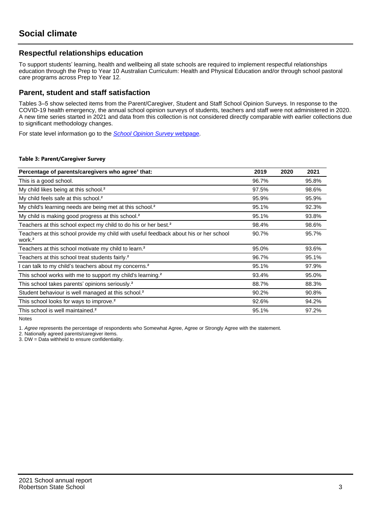## **Respectful relationships education**

To support students' learning, health and wellbeing all state schools are required to implement respectful relationships education through the Prep to Year 10 Australian Curriculum: Health and Physical Education and/or through school pastoral care programs across Prep to Year 12.

### **Parent, student and staff satisfaction**

Tables 3–5 show selected items from the Parent/Caregiver, Student and Staff School Opinion Surveys. In response to the COVID-19 health emergency, the annual school opinion surveys of students, teachers and staff were not administered in 2020. A new time series started in 2021 and data from this collection is not considered directly comparable with earlier collections due to significant methodology changes.

For state level information go to the **[School Opinion Survey](https://qed.qld.gov.au/publications/reports/statistics/schooling/schools/schoolopinionsurvey) webpage**.

#### **Table 3: Parent/Caregiver Survey**

| Percentage of parents/caregivers who agree <sup>1</sup> that:                                               | 2019  | 2020 | 2021  |
|-------------------------------------------------------------------------------------------------------------|-------|------|-------|
| This is a good school.                                                                                      | 96.7% |      | 95.8% |
| My child likes being at this school. <sup>2</sup>                                                           | 97.5% |      | 98.6% |
| My child feels safe at this school. <sup>2</sup>                                                            | 95.9% |      | 95.9% |
| My child's learning needs are being met at this school. <sup>2</sup>                                        | 95.1% |      | 92.3% |
| My child is making good progress at this school. <sup>2</sup>                                               | 95.1% |      | 93.8% |
| Teachers at this school expect my child to do his or her best. <sup>2</sup>                                 | 98.4% |      | 98.6% |
| Teachers at this school provide my child with useful feedback about his or her school<br>work. <sup>2</sup> | 90.7% |      | 95.7% |
| Teachers at this school motivate my child to learn. <sup>2</sup>                                            | 95.0% |      | 93.6% |
| Teachers at this school treat students fairly. <sup>2</sup>                                                 | 96.7% |      | 95.1% |
| can talk to my child's teachers about my concerns. <sup>2</sup>                                             | 95.1% |      | 97.9% |
| This school works with me to support my child's learning. <sup>2</sup>                                      | 93.4% |      | 95.0% |
| This school takes parents' opinions seriously. <sup>2</sup>                                                 | 88.7% |      | 88.3% |
| Student behaviour is well managed at this school. <sup>2</sup>                                              | 90.2% |      | 90.8% |
| This school looks for ways to improve. <sup>2</sup>                                                         | 92.6% |      | 94.2% |
| This school is well maintained. <sup>2</sup>                                                                | 95.1% |      | 97.2% |

Notes

1. Agree represents the percentage of respondents who Somewhat Agree, Agree or Strongly Agree with the statement.

2. Nationally agreed parents/caregiver items.

3. DW = Data withheld to ensure confidentiality.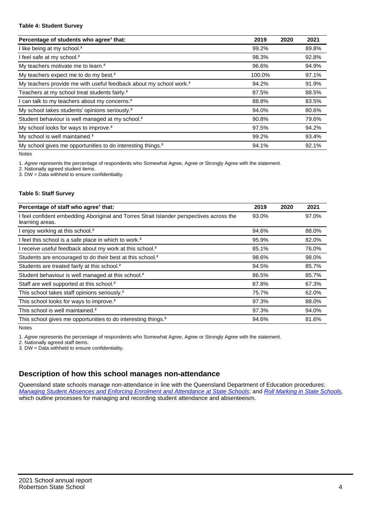#### **Table 4: Student Survey**

| Percentage of students who agree <sup>1</sup> that:                            | 2019   | 2020 | 2021  |
|--------------------------------------------------------------------------------|--------|------|-------|
| I like being at my school. <sup>2</sup>                                        | 99.2%  |      | 89.8% |
| I feel safe at my school. <sup>2</sup>                                         | 98.3%  |      | 92.8% |
| My teachers motivate me to learn. <sup>2</sup>                                 | 96.6%  |      | 94.9% |
| My teachers expect me to do my best. <sup>2</sup>                              | 100.0% |      | 97.1% |
| My teachers provide me with useful feedback about my school work. <sup>2</sup> | 94.2%  |      | 91.9% |
| Teachers at my school treat students fairly. <sup>2</sup>                      | 87.5%  |      | 88.5% |
| I can talk to my teachers about my concerns. <sup>2</sup>                      | 88.8%  |      | 83.5% |
| My school takes students' opinions seriously. <sup>2</sup>                     | 94.0%  |      | 80.6% |
| Student behaviour is well managed at my school. <sup>2</sup>                   | 90.8%  |      | 79.6% |
| My school looks for ways to improve. <sup>2</sup>                              | 97.5%  |      | 94.2% |
| My school is well maintained. <sup>2</sup>                                     | 99.2%  |      | 93.4% |
| My school gives me opportunities to do interesting things. <sup>2</sup>        | 94.1%  |      | 92.1% |

Notes

1. Agree represents the percentage of respondents who Somewhat Agree, Agree or Strongly Agree with the statement.

2. Nationally agreed student items.

3. DW = Data withheld to ensure confidentiality.

#### **Table 5: Staff Survey**

| Percentage of staff who agree <sup>1</sup> that:                                                            | 2019  | 2020 | 2021  |
|-------------------------------------------------------------------------------------------------------------|-------|------|-------|
| I feel confident embedding Aboriginal and Torres Strait Islander perspectives across the<br>learning areas. | 93.0% |      | 97.0% |
| I enjoy working at this school. <sup>2</sup>                                                                | 94.6% |      | 88.0% |
| I feel this school is a safe place in which to work. <sup>2</sup>                                           | 95.9% |      | 82.0% |
| I receive useful feedback about my work at this school. <sup>2</sup>                                        | 85.1% |      | 76.0% |
| Students are encouraged to do their best at this school. <sup>2</sup>                                       | 98.6% |      | 98.0% |
| Students are treated fairly at this school. <sup>2</sup>                                                    | 94.5% |      | 85.7% |
| Student behaviour is well managed at this school. <sup>2</sup>                                              | 86.5% |      | 85.7% |
| Staff are well supported at this school. <sup>2</sup>                                                       | 87.8% |      | 67.3% |
| This school takes staff opinions seriously. <sup>2</sup>                                                    | 75.7% |      | 62.0% |
| This school looks for ways to improve. <sup>2</sup>                                                         | 97.3% |      | 88.0% |
| This school is well maintained. <sup>2</sup>                                                                | 97.3% |      | 94.0% |
| This school gives me opportunities to do interesting things. <sup>2</sup>                                   | 94.6% |      | 81.6% |

Notes

1. Agree represents the percentage of respondents who Somewhat Agree, Agree or Strongly Agree with the statement.

2. Nationally agreed staff items.

3. DW = Data withheld to ensure confidentiality.

## **Description of how this school manages non-attendance**

Queensland state schools manage non-attendance in line with the Queensland Department of Education procedures: [Managing Student Absences and Enforcing Enrolment and Attendance at State Schools](https://ppr.qed.qld.gov.au/pp/managing-student-absences-and-enforcing-enrolment-and-attendance-at-state-schools-procedure); and [Roll Marking in State Schools,](https://ppr.qed.qld.gov.au/pp/roll-marking-in-state-schools-procedure) which outline processes for managing and recording student attendance and absenteeism.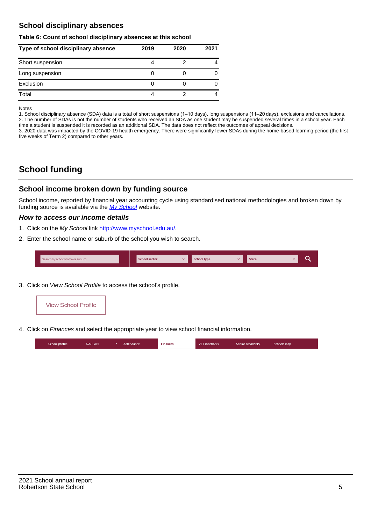## **School disciplinary absences**

#### **Table 6: Count of school disciplinary absences at this school**

| Type of school disciplinary absence | 2019 | 2020 | 2021 |
|-------------------------------------|------|------|------|
| Short suspension                    |      |      |      |
| Long suspension                     |      |      |      |
| Exclusion                           |      |      |      |
| Total                               | 4    |      |      |

Notes

1. School disciplinary absence (SDA) data is a total of short suspensions (1–10 days), long suspensions (11–20 days), exclusions and cancellations. 2. The number of SDAs is not the number of students who received an SDA as one student may be suspended several times in a school year. Each time a student is suspended it is recorded as an additional SDA. The data does not reflect the outcomes of appeal decisions.

3. 2020 data was impacted by the COVID-19 health emergency. There were significantly fewer SDAs during the home-based learning period (the first five weeks of Term 2) compared to other years.

# **School funding**

## **School income broken down by funding source**

School income, reported by financial year accounting cycle using standardised national methodologies and broken down by funding source is available via the  $My$  School website.

#### **How to access our income details**

- 1. Click on the My School link <http://www.myschool.edu.au/>.
- 2. Enter the school name or suburb of the school you wish to search.

|  | Search by school name or suburb |  | <b>School sector</b> |  | $\sim$ and $\sim$ represents the set of $\sim$ | <b>State</b> |  |  |  |
|--|---------------------------------|--|----------------------|--|------------------------------------------------|--------------|--|--|--|
|--|---------------------------------|--|----------------------|--|------------------------------------------------|--------------|--|--|--|

3. Click on View School Profile to access the school's profile.



4. Click on Finances and select the appropriate year to view school financial information.

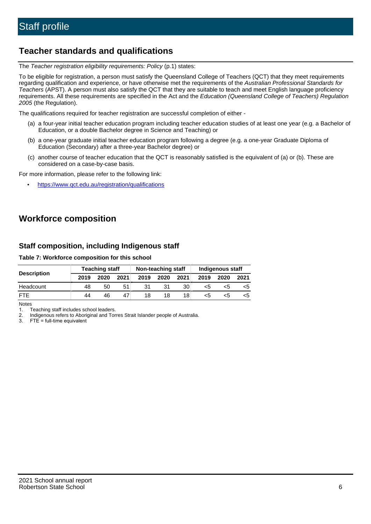# **Teacher standards and qualifications**

The Teacher registration eligibility requirements: Policy (p.1) states:

To be eligible for registration, a person must satisfy the Queensland College of Teachers (QCT) that they meet requirements regarding qualification and experience, or have otherwise met the requirements of the Australian Professional Standards for Teachers (APST). A person must also satisfy the QCT that they are suitable to teach and meet English language proficiency requirements. All these requirements are specified in the Act and the Education (Queensland College of Teachers) Regulation 2005 (the Regulation).

The qualifications required for teacher registration are successful completion of either -

- (a) a four-year initial teacher education program including teacher education studies of at least one year (e.g. a Bachelor of Education, or a double Bachelor degree in Science and Teaching) or
- (b) a one-year graduate initial teacher education program following a degree (e.g. a one-year Graduate Diploma of Education (Secondary) after a three-year Bachelor degree) or
- (c) another course of teacher education that the QCT is reasonably satisfied is the equivalent of (a) or (b). These are considered on a case-by-case basis.

For more information, please refer to the following link:

• <https://www.qct.edu.au/registration/qualifications>

# **Workforce composition**

## **Staff composition, including Indigenous staff**

#### **Table 7: Workforce composition for this school**

|                    | <b>Teaching staff</b><br>Non-teaching staff |      |      |      | Indigenous staff |      |      |      |      |
|--------------------|---------------------------------------------|------|------|------|------------------|------|------|------|------|
| <b>Description</b> | 2019                                        | 2020 | 2021 | 2019 | 2020             | 2021 | 2019 | 2020 | 2021 |
| Headcount          | 48                                          | 50   |      | 31   | 31               | 30   | <5   | כ>   |      |
| <b>FTF</b>         | 44                                          | 46   | 47   | 18   | 18               | 18⊥  | <5   | ה>   |      |

Notes

1. Teaching staff includes school leaders.

2. Indigenous refers to Aboriginal and Torres Strait Islander people of Australia.

3. FTE = full-time equivalent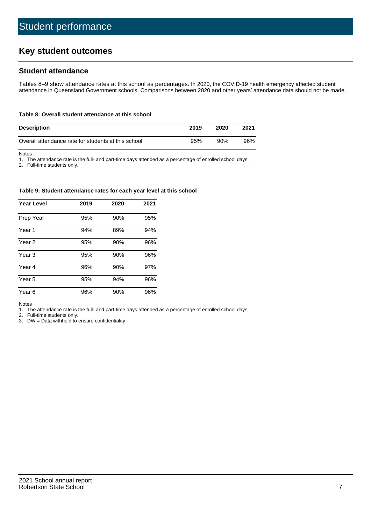# **Key student outcomes**

## **Student attendance**

Tables 8–9 show attendance rates at this school as percentages. In 2020, the COVID-19 health emergency affected student attendance in Queensland Government schools. Comparisons between 2020 and other years' attendance data should not be made.

#### **Table 8: Overall student attendance at this school**

| <b>Description</b>                                  | 2019 | 2020 | 2021 |
|-----------------------------------------------------|------|------|------|
| Overall attendance rate for students at this school | 95%  | 90%  | 96%  |

Notes

1. The attendance rate is the full- and part-time days attended as a percentage of enrolled school days.

2. Full-time students only.

#### **Table 9: Student attendance rates for each year level at this school**

| <b>Year Level</b> | 2019 | 2020 | 2021 |
|-------------------|------|------|------|
| Prep Year         | 95%  | 90%  | 95%  |
| Year <sub>1</sub> | 94%  | 89%  | 94%  |
| Year 2            | 95%  | 90%  | 96%  |
| Year 3            | 95%  | 90%  | 96%  |
| Year 4            | 96%  | 90%  | 97%  |
| Year 5            | 95%  | 94%  | 96%  |
| Year <sub>6</sub> | 96%  | 90%  | 96%  |

Notes

1. The attendance rate is the full- and part-time days attended as a percentage of enrolled school days.

2. Full-time students only.

3. DW = Data withheld to ensure confidentiality